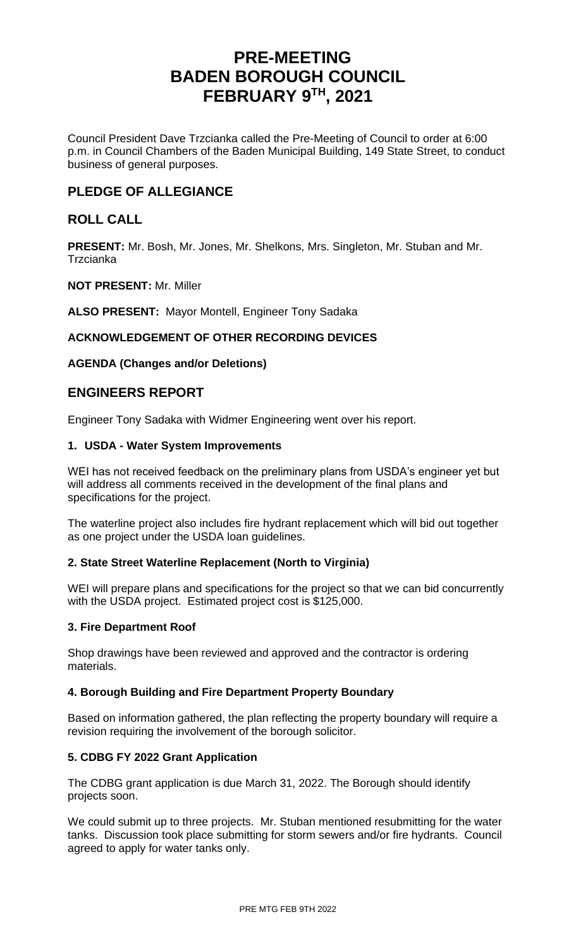# **PRE-MEETING BADEN BOROUGH COUNCIL FEBRUARY 9TH , 2021**

Council President Dave Trzcianka called the Pre-Meeting of Council to order at 6:00 p.m. in Council Chambers of the Baden Municipal Building, 149 State Street, to conduct business of general purposes.

## **PLEDGE OF ALLEGIANCE**

## **ROLL CALL**

**PRESENT:** Mr. Bosh, Mr. Jones, Mr. Shelkons, Mrs. Singleton, Mr. Stuban and Mr. **Trzcianka** 

### **NOT PRESENT:** Mr. Miller

**ALSO PRESENT:** Mayor Montell, Engineer Tony Sadaka

## **ACKNOWLEDGEMENT OF OTHER RECORDING DEVICES**

## **AGENDA (Changes and/or Deletions)**

## **ENGINEERS REPORT**

Engineer Tony Sadaka with Widmer Engineering went over his report.

### **1. USDA - Water System Improvements**

WEI has not received feedback on the preliminary plans from USDA's engineer yet but will address all comments received in the development of the final plans and specifications for the project.

The waterline project also includes fire hydrant replacement which will bid out together as one project under the USDA loan guidelines.

## **2. State Street Waterline Replacement (North to Virginia)**

WEI will prepare plans and specifications for the project so that we can bid concurrently with the USDA project. Estimated project cost is \$125,000.

## **3. Fire Department Roof**

Shop drawings have been reviewed and approved and the contractor is ordering materials.

## **4. Borough Building and Fire Department Property Boundary**

Based on information gathered, the plan reflecting the property boundary will require a revision requiring the involvement of the borough solicitor.

## **5. CDBG FY 2022 Grant Application**

The CDBG grant application is due March 31, 2022. The Borough should identify projects soon.

We could submit up to three projects. Mr. Stuban mentioned resubmitting for the water tanks. Discussion took place submitting for storm sewers and/or fire hydrants. Council agreed to apply for water tanks only.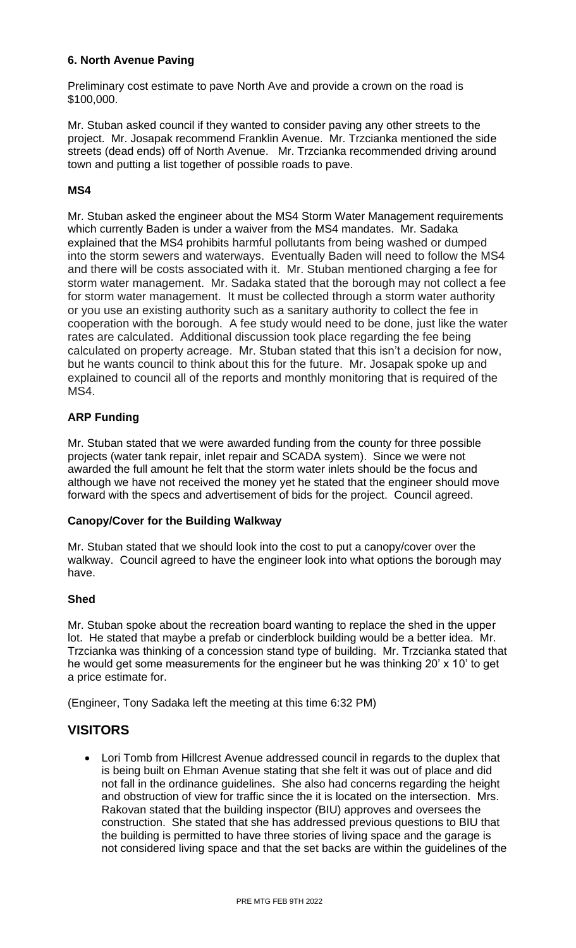## **6. North Avenue Paving**

Preliminary cost estimate to pave North Ave and provide a crown on the road is \$100,000.

Mr. Stuban asked council if they wanted to consider paving any other streets to the project. Mr. Josapak recommend Franklin Avenue. Mr. Trzcianka mentioned the side streets (dead ends) off of North Avenue. Mr. Trzcianka recommended driving around town and putting a list together of possible roads to pave.

## **MS4**

Mr. Stuban asked the engineer about the MS4 Storm Water Management requirements which currently Baden is under a waiver from the MS4 mandates. Mr. Sadaka explained that the MS4 prohibits harmful pollutants from being washed or dumped into the storm sewers and waterways. Eventually Baden will need to follow the MS4 and there will be costs associated with it. Mr. Stuban mentioned charging a fee for storm water management. Mr. Sadaka stated that the borough may not collect a fee for storm water management. It must be collected through a storm water authority or you use an existing authority such as a sanitary authority to collect the fee in cooperation with the borough. A fee study would need to be done, just like the water rates are calculated. Additional discussion took place regarding the fee being calculated on property acreage. Mr. Stuban stated that this isn't a decision for now, but he wants council to think about this for the future. Mr. Josapak spoke up and explained to council all of the reports and monthly monitoring that is required of the MS4.

## **ARP Funding**

Mr. Stuban stated that we were awarded funding from the county for three possible projects (water tank repair, inlet repair and SCADA system). Since we were not awarded the full amount he felt that the storm water inlets should be the focus and although we have not received the money yet he stated that the engineer should move forward with the specs and advertisement of bids for the project. Council agreed.

## **Canopy/Cover for the Building Walkway**

Mr. Stuban stated that we should look into the cost to put a canopy/cover over the walkway. Council agreed to have the engineer look into what options the borough may have.

## **Shed**

Mr. Stuban spoke about the recreation board wanting to replace the shed in the upper lot. He stated that maybe a prefab or cinderblock building would be a better idea. Mr. Trzcianka was thinking of a concession stand type of building. Mr. Trzcianka stated that he would get some measurements for the engineer but he was thinking 20' x 10' to get a price estimate for.

(Engineer, Tony Sadaka left the meeting at this time 6:32 PM)

## **VISITORS**

• Lori Tomb from Hillcrest Avenue addressed council in regards to the duplex that is being built on Ehman Avenue stating that she felt it was out of place and did not fall in the ordinance guidelines. She also had concerns regarding the height and obstruction of view for traffic since the it is located on the intersection. Mrs. Rakovan stated that the building inspector (BIU) approves and oversees the construction. She stated that she has addressed previous questions to BIU that the building is permitted to have three stories of living space and the garage is not considered living space and that the set backs are within the guidelines of the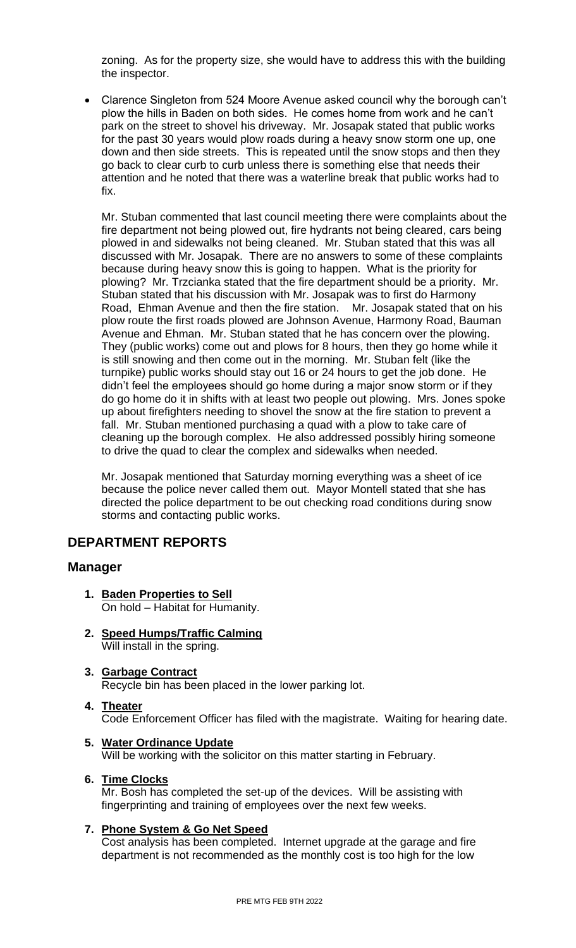zoning. As for the property size, she would have to address this with the building the inspector.

• Clarence Singleton from 524 Moore Avenue asked council why the borough can't plow the hills in Baden on both sides. He comes home from work and he can't park on the street to shovel his driveway. Mr. Josapak stated that public works for the past 30 years would plow roads during a heavy snow storm one up, one down and then side streets. This is repeated until the snow stops and then they go back to clear curb to curb unless there is something else that needs their attention and he noted that there was a waterline break that public works had to fix.

Mr. Stuban commented that last council meeting there were complaints about the fire department not being plowed out, fire hydrants not being cleared, cars being plowed in and sidewalks not being cleaned. Mr. Stuban stated that this was all discussed with Mr. Josapak. There are no answers to some of these complaints because during heavy snow this is going to happen. What is the priority for plowing? Mr. Trzcianka stated that the fire department should be a priority. Mr. Stuban stated that his discussion with Mr. Josapak was to first do Harmony Road, Ehman Avenue and then the fire station. Mr. Josapak stated that on his plow route the first roads plowed are Johnson Avenue, Harmony Road, Bauman Avenue and Ehman. Mr. Stuban stated that he has concern over the plowing. They (public works) come out and plows for 8 hours, then they go home while it is still snowing and then come out in the morning. Mr. Stuban felt (like the turnpike) public works should stay out 16 or 24 hours to get the job done. He didn't feel the employees should go home during a major snow storm or if they do go home do it in shifts with at least two people out plowing. Mrs. Jones spoke up about firefighters needing to shovel the snow at the fire station to prevent a fall. Mr. Stuban mentioned purchasing a quad with a plow to take care of cleaning up the borough complex. He also addressed possibly hiring someone to drive the quad to clear the complex and sidewalks when needed.

Mr. Josapak mentioned that Saturday morning everything was a sheet of ice because the police never called them out. Mayor Montell stated that she has directed the police department to be out checking road conditions during snow storms and contacting public works.

## **DEPARTMENT REPORTS**

## **Manager**

- **1. Baden Properties to Sell** On hold – Habitat for Humanity.
- **2. Speed Humps/Traffic Calming** Will install in the spring.
- **3. Garbage Contract** Recycle bin has been placed in the lower parking lot.
- **4. Theater** Code Enforcement Officer has filed with the magistrate. Waiting for hearing date.
- **5. Water Ordinance Update** Will be working with the solicitor on this matter starting in February.

## **6. Time Clocks**

Mr. Bosh has completed the set-up of the devices. Will be assisting with fingerprinting and training of employees over the next few weeks.

## **7. Phone System & Go Net Speed**

Cost analysis has been completed. Internet upgrade at the garage and fire department is not recommended as the monthly cost is too high for the low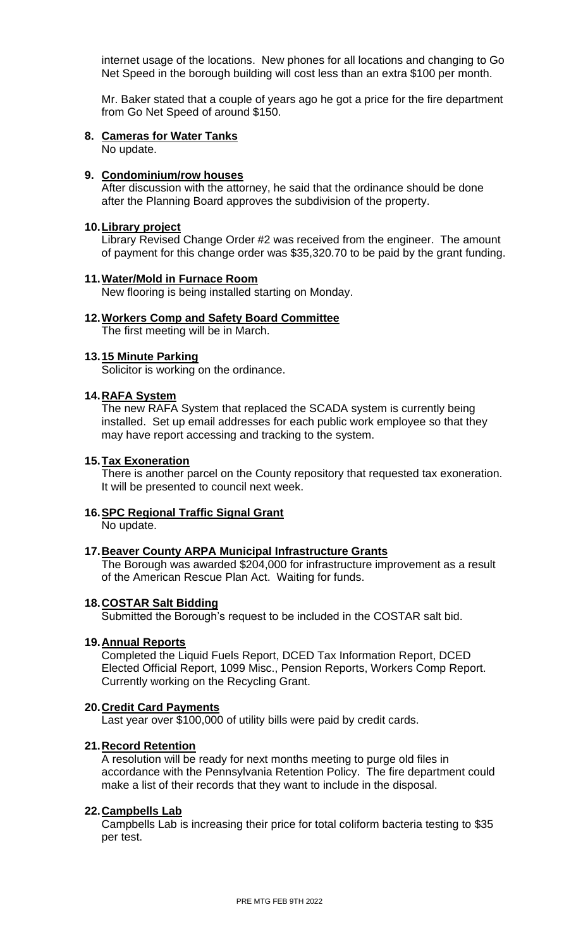internet usage of the locations. New phones for all locations and changing to Go Net Speed in the borough building will cost less than an extra \$100 per month.

Mr. Baker stated that a couple of years ago he got a price for the fire department from Go Net Speed of around \$150.

#### **8. Cameras for Water Tanks** No update.

### **9. Condominium/row houses**

After discussion with the attorney, he said that the ordinance should be done after the Planning Board approves the subdivision of the property.

### **10.Library project**

Library Revised Change Order #2 was received from the engineer. The amount of payment for this change order was \$35,320.70 to be paid by the grant funding.

### **11.Water/Mold in Furnace Room**

New flooring is being installed starting on Monday.

### **12.Workers Comp and Safety Board Committee**

The first meeting will be in March.

### **13.15 Minute Parking**

Solicitor is working on the ordinance.

### **14.RAFA System**

The new RAFA System that replaced the SCADA system is currently being installed. Set up email addresses for each public work employee so that they may have report accessing and tracking to the system.

### **15.Tax Exoneration**

There is another parcel on the County repository that requested tax exoneration. It will be presented to council next week.

### **16.SPC Regional Traffic Signal Grant**

No update.

#### **17.Beaver County ARPA Municipal Infrastructure Grants**

The Borough was awarded \$204,000 for infrastructure improvement as a result of the American Rescue Plan Act. Waiting for funds.

#### **18.COSTAR Salt Bidding**

Submitted the Borough's request to be included in the COSTAR salt bid.

#### **19.Annual Reports**

Completed the Liquid Fuels Report, DCED Tax Information Report, DCED Elected Official Report, 1099 Misc., Pension Reports, Workers Comp Report. Currently working on the Recycling Grant.

#### **20.Credit Card Payments**

Last year over \$100,000 of utility bills were paid by credit cards.

#### **21.Record Retention**

A resolution will be ready for next months meeting to purge old files in accordance with the Pennsylvania Retention Policy. The fire department could make a list of their records that they want to include in the disposal.

#### **22.Campbells Lab**

Campbells Lab is increasing their price for total coliform bacteria testing to \$35 per test.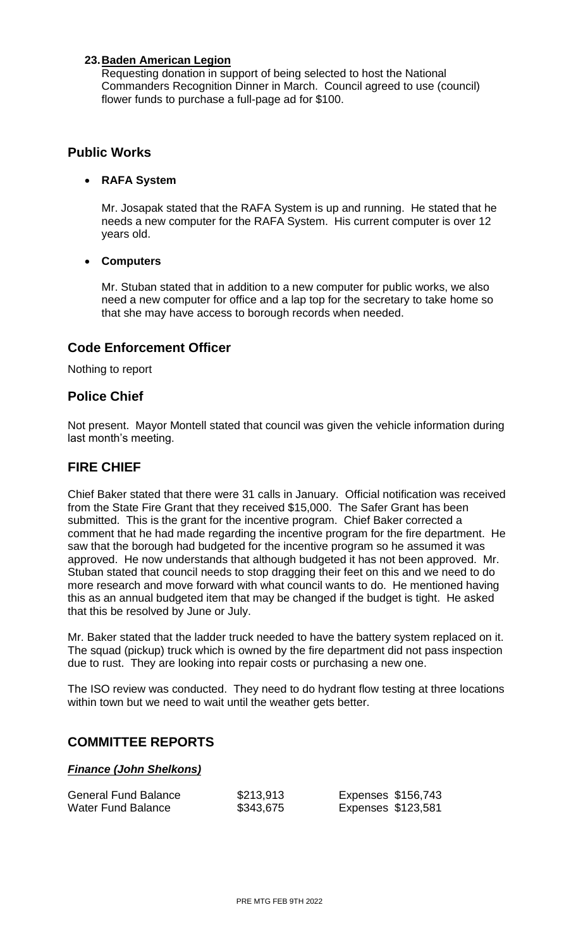## **23.Baden American Legion**

Requesting donation in support of being selected to host the National Commanders Recognition Dinner in March. Council agreed to use (council) flower funds to purchase a full-page ad for \$100.

## **Public Works**

## • **RAFA System**

Mr. Josapak stated that the RAFA System is up and running. He stated that he needs a new computer for the RAFA System. His current computer is over 12 years old.

## • **Computers**

Mr. Stuban stated that in addition to a new computer for public works, we also need a new computer for office and a lap top for the secretary to take home so that she may have access to borough records when needed.

## **Code Enforcement Officer**

Nothing to report

## **Police Chief**

Not present. Mayor Montell stated that council was given the vehicle information during last month's meeting.

## **FIRE CHIEF**

Chief Baker stated that there were 31 calls in January. Official notification was received from the State Fire Grant that they received \$15,000. The Safer Grant has been submitted. This is the grant for the incentive program. Chief Baker corrected a comment that he had made regarding the incentive program for the fire department. He saw that the borough had budgeted for the incentive program so he assumed it was approved. He now understands that although budgeted it has not been approved. Mr. Stuban stated that council needs to stop dragging their feet on this and we need to do more research and move forward with what council wants to do. He mentioned having this as an annual budgeted item that may be changed if the budget is tight. He asked that this be resolved by June or July.

Mr. Baker stated that the ladder truck needed to have the battery system replaced on it. The squad (pickup) truck which is owned by the fire department did not pass inspection due to rust. They are looking into repair costs or purchasing a new one.

The ISO review was conducted. They need to do hydrant flow testing at three locations within town but we need to wait until the weather gets better.

## **COMMITTEE REPORTS**

## *Finance (John Shelkons)*

| <b>General Fund Balance</b> | \$213,913 | Expenses \$156,743 |  |
|-----------------------------|-----------|--------------------|--|
| Water Fund Balance          | \$343,675 | Expenses \$123,581 |  |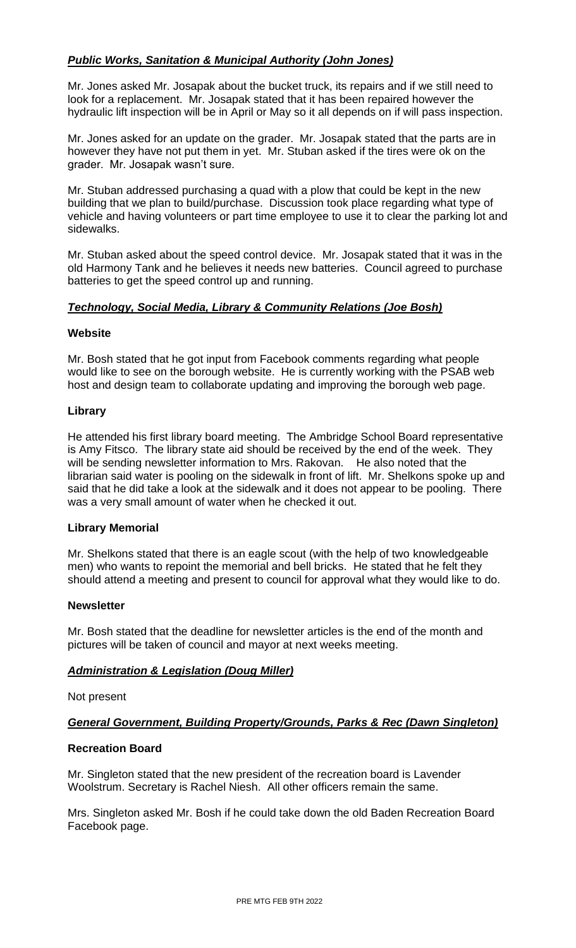## *Public Works, Sanitation & Municipal Authority (John Jones)*

Mr. Jones asked Mr. Josapak about the bucket truck, its repairs and if we still need to look for a replacement. Mr. Josapak stated that it has been repaired however the hydraulic lift inspection will be in April or May so it all depends on if will pass inspection.

Mr. Jones asked for an update on the grader. Mr. Josapak stated that the parts are in however they have not put them in yet. Mr. Stuban asked if the tires were ok on the grader. Mr. Josapak wasn't sure.

Mr. Stuban addressed purchasing a quad with a plow that could be kept in the new building that we plan to build/purchase. Discussion took place regarding what type of vehicle and having volunteers or part time employee to use it to clear the parking lot and sidewalks.

Mr. Stuban asked about the speed control device. Mr. Josapak stated that it was in the old Harmony Tank and he believes it needs new batteries. Council agreed to purchase batteries to get the speed control up and running.

## *Technology, Social Media, Library & Community Relations (Joe Bosh)*

### **Website**

Mr. Bosh stated that he got input from Facebook comments regarding what people would like to see on the borough website. He is currently working with the PSAB web host and design team to collaborate updating and improving the borough web page.

## **Library**

He attended his first library board meeting. The Ambridge School Board representative is Amy Fitsco. The library state aid should be received by the end of the week. They will be sending newsletter information to Mrs. Rakovan. He also noted that the librarian said water is pooling on the sidewalk in front of lift. Mr. Shelkons spoke up and said that he did take a look at the sidewalk and it does not appear to be pooling. There was a very small amount of water when he checked it out.

## **Library Memorial**

Mr. Shelkons stated that there is an eagle scout (with the help of two knowledgeable men) who wants to repoint the memorial and bell bricks. He stated that he felt they should attend a meeting and present to council for approval what they would like to do.

### **Newsletter**

Mr. Bosh stated that the deadline for newsletter articles is the end of the month and pictures will be taken of council and mayor at next weeks meeting.

## *Administration & Legislation (Doug Miller)*

Not present

## *General Government, Building Property/Grounds, Parks & Rec (Dawn Singleton)*

## **Recreation Board**

Mr. Singleton stated that the new president of the recreation board is Lavender Woolstrum. Secretary is Rachel Niesh. All other officers remain the same.

Mrs. Singleton asked Mr. Bosh if he could take down the old Baden Recreation Board Facebook page.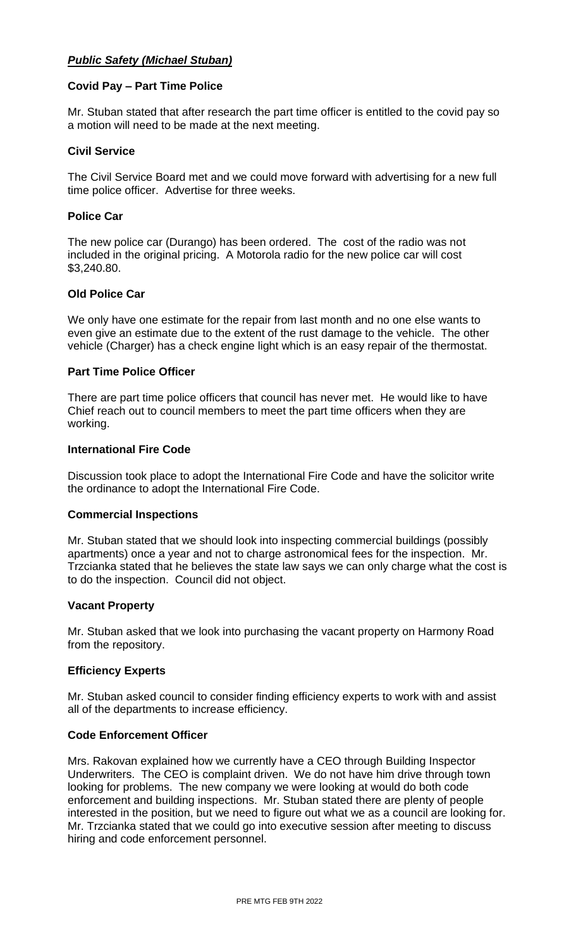## *Public Safety (Michael Stuban)*

### **Covid Pay – Part Time Police**

Mr. Stuban stated that after research the part time officer is entitled to the covid pay so a motion will need to be made at the next meeting.

### **Civil Service**

The Civil Service Board met and we could move forward with advertising for a new full time police officer. Advertise for three weeks.

### **Police Car**

The new police car (Durango) has been ordered. The cost of the radio was not included in the original pricing. A Motorola radio for the new police car will cost \$3,240.80.

### **Old Police Car**

We only have one estimate for the repair from last month and no one else wants to even give an estimate due to the extent of the rust damage to the vehicle. The other vehicle (Charger) has a check engine light which is an easy repair of the thermostat.

### **Part Time Police Officer**

There are part time police officers that council has never met. He would like to have Chief reach out to council members to meet the part time officers when they are working.

### **International Fire Code**

Discussion took place to adopt the International Fire Code and have the solicitor write the ordinance to adopt the International Fire Code.

### **Commercial Inspections**

Mr. Stuban stated that we should look into inspecting commercial buildings (possibly apartments) once a year and not to charge astronomical fees for the inspection. Mr. Trzcianka stated that he believes the state law says we can only charge what the cost is to do the inspection. Council did not object.

### **Vacant Property**

Mr. Stuban asked that we look into purchasing the vacant property on Harmony Road from the repository.

### **Efficiency Experts**

Mr. Stuban asked council to consider finding efficiency experts to work with and assist all of the departments to increase efficiency.

## **Code Enforcement Officer**

Mrs. Rakovan explained how we currently have a CEO through Building Inspector Underwriters. The CEO is complaint driven. We do not have him drive through town looking for problems. The new company we were looking at would do both code enforcement and building inspections. Mr. Stuban stated there are plenty of people interested in the position, but we need to figure out what we as a council are looking for. Mr. Trzcianka stated that we could go into executive session after meeting to discuss hiring and code enforcement personnel.